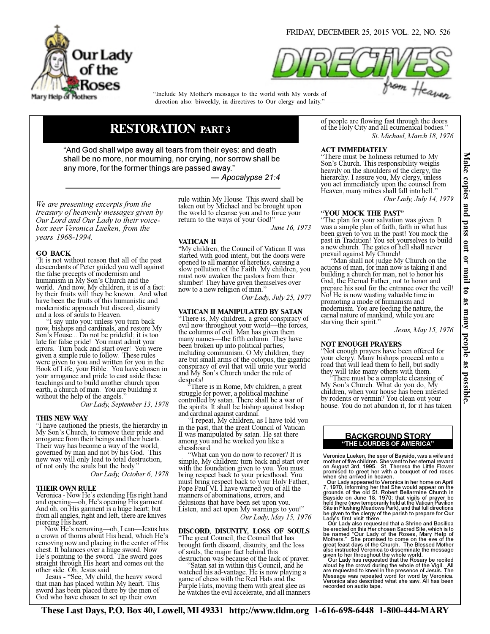



direction also: biweekly, in directives to Our clergy and laity." "Include My Mother's messages to the world with My words of

# RESTORATION PART 3

"And God shall wipe away all tears from their eyes: and death shall be no more, nor mourning, nor crying, nor sorrow shall be any more, for the former things are passed away."

— Apocalypse 21:4

We are presenting excerpts from the treasury of heavenly messages given by Our Lord and Our Lady to their voicebox seer Veronica Lueken, from the years 1968-1994.

# GO BACK

"It is not without reason that all of the past descendants of Peter guided you well against the false precepts of modernism and humanism in My Son's Church and the world. And now, My children, it is of a fact: by their fruits will they be known. And what have been the fruits of this humanistic and modernistic approach but discord, disunity and a loss of souls to Heaven.

I say unto you: unless you turn back now, bishops and cardinals, and restore My Son's House... Do not be prideful; it is too late for false pride! You must admit your errors. Turn back and start over! You were given a simple rule to follow. These rules were given to you and written for you in the Book of Life, your Bible. You have chosen in your arrogance and pride to cast aside these teachings and to build another church upon earth, a church of man. You are building it without the help of the angels.

Our Lady, September 13, 1978

## THIS NEW WAY

"I have cautioned the priests, the hierarchy in My Son's Church, to remove their pride and arrogance from their beings and their hearts. Their way has become a way of the world, governed by man and not by his God. This new way will only lead to total destruction, of not only the souls but the body."

Our Lady, October 6, 1978

## THEIR OWN RULE

Veronica - Now He's extending His right hand and opening—oh, He's opening His garment. And oh, on His garment is a huge heart; but from all angles, right and left, there are knives piercing His heart.

 Now He's removing—oh, I can—Jesus has a crown of thorns about His head, which He's removing now and placing in the center of His chest. It balances over a huge sword. Now He's pointing to the sword. The sword goes straight through His heart and comes out the other side. Oh, Jesus said:

 Jesus - "See, My child, the heavy sword that man has placed within My heart. This sword has been placed there by the men of God who have chosen to set up their own

rule within My House. This sword shall be taken out by Michael and be brought upon the world to cleanse you and to force your return to the ways of your God!

June 16, 1973

# VATICAN II

"My children, the Council of Vatican II was started with good intent, but the doors were opened to all manner of heretics, causing a slow pollution of the Faith. My children, you must now awaken the pastors from their slumber! They have given themselves over now to a new religion of man."

Our Lady, July 25, 1977

# VATICAN II MANIPULATED BY SATAN

"There is, My children, a great conspiracy of evil now throughout your world—the forces, the columns of evil. Man has given them many names—the fifth column. They have been broken up into political parties, including communism. O My children, they are but small arms of the octopus, the gigantic conspiracy of evil that will unite your world and My Son's Church under the rule of despots!

There is in Rome, My children, a great struggle for power, a political machine controlled by satan. There shall be a war of the spirits. It shall be bishop against bishop and cardinal against cardinal.

 "I repeat, My children, as I have told you in the past, that the great Council of Vatican II was manipulated by satan. He sat there among you and he worked you like a chessboard.

 "What can you do now to recover? It is simple, My children: turn back and start over with the foundation given to you. You must bring respect back to your priesthood. You must bring respect back to your Holy Father, Pope Paul VI. I have warned you of all the manners of abominations, errors, and delusions that have been set upon you. Listen, and act upon My warnings to you!" Our Lady, May 15, 1976

#### DISCORD, DISUNITY, LOSS OF SOULS The great Council, the Council that has

brought forth discord, disunity, and the loss of souls, the major fact behind this destruction was because of the lack of prayer.

 "Satan sat in within this Council, and he watched his ad-vantage. He is now playing a game of chess with the Red Hats and the Purple Hats, moving them with great glee as he watches the evil accelerate, and all manners of people are flowing fast through the doors of the Holy City and all ecumenical bodies." St. Michael, March 18, 1976

# ACT IMMEDIATELY

"There must be holiness returned to My Son's Church. This responsibility weighs heavily on the shoulders of the clergy, the hierarchy. I assure you, My clergy, unless you act immediately upon the counsel from Heaven, many mitres shall fall into hell."

Our Lady, July 14, 1979

# "YOU MOCK THE PAST"

"The plan for your salvation was given. It was a simple plan of faith, faith in what has been given to you in the past! You mock the past in Tradition! You set yourselves to build a new church. The gates of hell shall never prevail against My Church!

 "Man shall not judge My Church on the actions of man, for man now is taking it and building a church for man, not to honor his God, the Eternal Father, not to honor and prepare his soul for the entrance over the veil! No! He is now wasting valuable time in promoting a mode of humanism and modernism. You are feeding the nature, the carnal nature of mankind, while you are starving their spirit."

Jesus, May 15, 1976

## NOT ENOUGH PRAYERS

"Not enough prayers have been offered for your clergy. Many bishops proceed onto a road that will lead them to hell, but sadly they will take many others with them.

 "There must be a complete cleansing of My Son's Church. What do you do, My children, when your house has been infested by rodents or vermin? You clean out your house. You do not abandon it, for it has taken

# "THE LOURDES OF AMERICA" BACKGROUND STORY

Veronica Lueken, the seer of Bayside, was a wife and mother of five children. She went to her eternal reward<br>on August 3rd, 1995. St. Theresa the Little Flower<br>promised to greet her with a bouquet of red roses<br>when she arrived in heaven.<br>Our Lady appeared to Veronica in her

7, 1970, informing her that She would appear on the<br>grounds of the old St. Robert Bellarmine Church in<br>Bayside on June 18, 1970; that vigils of prayer be<br>held there (now temporarily held at the Vatican Pavilion<br>Site in Flu Lady's first visit there.

Our Lady also requested that a Shrine and Basilica<br>be erected on this Her chosen Sacred Site, which is to<br>be named "Our Lady of the Roses, Mary Help of<br>Mothers." She promised to come on the eve of the<br>great feast days of t given to her throughout the whole world. Our Lady has requested that the Rosary be recited

aloud by the crowd during the whole of the Vigil. All are requested to kneel in the presence of Jesus. The Message was repeated word for word by Veronica. Veronica also described what she saw. All has been recorded on audio tape.